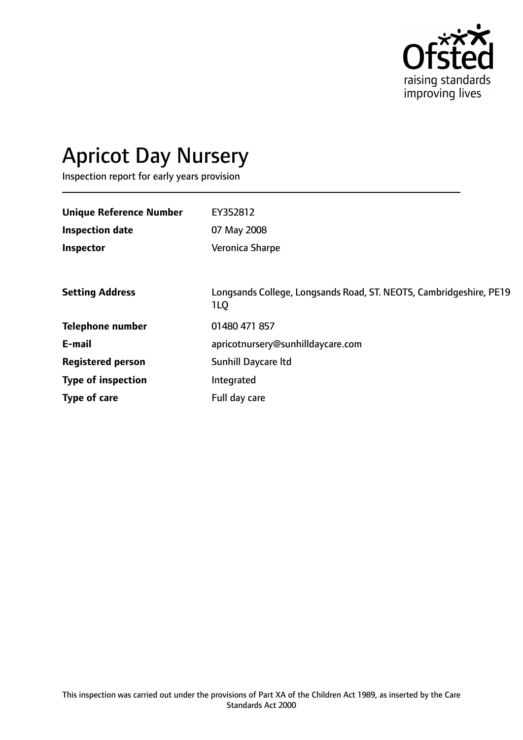

# Apricot Day Nursery

Inspection report for early years provision

| <b>Unique Reference Number</b> | EY352812                                                                  |
|--------------------------------|---------------------------------------------------------------------------|
| <b>Inspection date</b>         | 07 May 2008                                                               |
| Inspector                      | Veronica Sharpe                                                           |
|                                |                                                                           |
| <b>Setting Address</b>         | Longsands College, Longsands Road, ST. NEOTS, Cambridgeshire, PE19<br>1LQ |
| <b>Telephone number</b>        | 01480 471 857                                                             |
| E-mail                         | apricotnursery@sunhilldaycare.com                                         |
| <b>Registered person</b>       | Sunhill Daycare Itd                                                       |
| <b>Type of inspection</b>      | Integrated                                                                |
| Type of care                   | Full day care                                                             |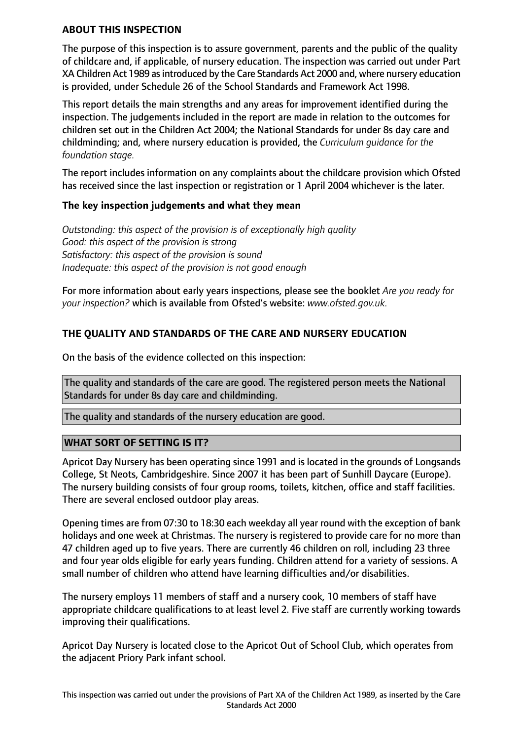## **ABOUT THIS INSPECTION**

The purpose of this inspection is to assure government, parents and the public of the quality of childcare and, if applicable, of nursery education. The inspection was carried out under Part XA Children Act 1989 as introduced by the Care Standards Act 2000 and, where nursery education is provided, under Schedule 26 of the School Standards and Framework Act 1998.

This report details the main strengths and any areas for improvement identified during the inspection. The judgements included in the report are made in relation to the outcomes for children set out in the Children Act 2004; the National Standards for under 8s day care and childminding; and, where nursery education is provided, the *Curriculum guidance for the foundation stage.*

The report includes information on any complaints about the childcare provision which Ofsted has received since the last inspection or registration or 1 April 2004 whichever is the later.

## **The key inspection judgements and what they mean**

*Outstanding: this aspect of the provision is of exceptionally high quality Good: this aspect of the provision is strong Satisfactory: this aspect of the provision is sound Inadequate: this aspect of the provision is not good enough*

For more information about early years inspections, please see the booklet *Are you ready for your inspection?* which is available from Ofsted's website: *www.ofsted.gov.uk.*

# **THE QUALITY AND STANDARDS OF THE CARE AND NURSERY EDUCATION**

On the basis of the evidence collected on this inspection:

The quality and standards of the care are good. The registered person meets the National Standards for under 8s day care and childminding.

The quality and standards of the nursery education are good.

## **WHAT SORT OF SETTING IS IT?**

Apricot Day Nursery has been operating since 1991 and is located in the grounds of Longsands College, St Neots, Cambridgeshire. Since 2007 it has been part of Sunhill Daycare (Europe). The nursery building consists of four group rooms, toilets, kitchen, office and staff facilities. There are several enclosed outdoor play areas.

Opening times are from 07:30 to 18:30 each weekday all year round with the exception of bank holidays and one week at Christmas. The nursery is registered to provide care for no more than 47 children aged up to five years. There are currently 46 children on roll, including 23 three and four year olds eligible for early years funding. Children attend for a variety of sessions. A small number of children who attend have learning difficulties and/or disabilities.

The nursery employs 11 members of staff and a nursery cook, 10 members of staff have appropriate childcare qualifications to at least level 2. Five staff are currently working towards improving their qualifications.

Apricot Day Nursery is located close to the Apricot Out of School Club, which operates from the adjacent Priory Park infant school.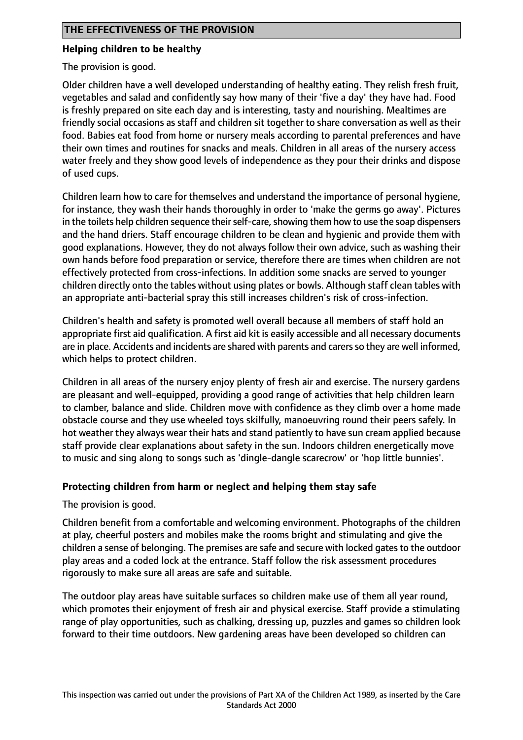## **Helping children to be healthy**

The provision is good.

Older children have a well developed understanding of healthy eating. They relish fresh fruit, vegetables and salad and confidently say how many of their 'five a day' they have had. Food is freshly prepared on site each day and is interesting, tasty and nourishing. Mealtimes are friendly social occasions as staff and children sit together to share conversation as well as their food. Babies eat food from home or nursery meals according to parental preferences and have their own times and routines for snacks and meals. Children in all areas of the nursery access water freely and they show good levels of independence as they pour their drinks and dispose of used cups.

Children learn how to care for themselves and understand the importance of personal hygiene, for instance, they wash their hands thoroughly in order to 'make the germs go away'. Pictures in the toilets help children sequence their self-care, showing them how to use the soap dispensers and the hand driers. Staff encourage children to be clean and hygienic and provide them with good explanations. However, they do not always follow their own advice, such as washing their own hands before food preparation or service, therefore there are times when children are not effectively protected from cross-infections. In addition some snacks are served to younger children directly onto the tables without using plates or bowls. Although staff clean tables with an appropriate anti-bacterial spray this still increases children's risk of cross-infection.

Children's health and safety is promoted well overall because all members of staff hold an appropriate first aid qualification. A first aid kit is easily accessible and all necessary documents are in place. Accidents and incidents are shared with parents and carers so they are well informed, which helps to protect children.

Children in all areas of the nursery enjoy plenty of fresh air and exercise. The nursery gardens are pleasant and well-equipped, providing a good range of activities that help children learn to clamber, balance and slide. Children move with confidence as they climb over a home made obstacle course and they use wheeled toys skilfully, manoeuvring round their peers safely. In hot weather they always wear their hats and stand patiently to have sun cream applied because staff provide clear explanations about safety in the sun. Indoors children energetically move to music and sing along to songs such as 'dingle-dangle scarecrow' or 'hop little bunnies'.

## **Protecting children from harm or neglect and helping them stay safe**

The provision is good.

Children benefit from a comfortable and welcoming environment. Photographs of the children at play, cheerful posters and mobiles make the rooms bright and stimulating and give the children a sense of belonging. The premises are safe and secure with locked gates to the outdoor play areas and a coded lock at the entrance. Staff follow the risk assessment procedures rigorously to make sure all areas are safe and suitable.

The outdoor play areas have suitable surfaces so children make use of them all year round, which promotes their enjoyment of fresh air and physical exercise. Staff provide a stimulating range of play opportunities, such as chalking, dressing up, puzzles and games so children look forward to their time outdoors. New gardening areas have been developed so children can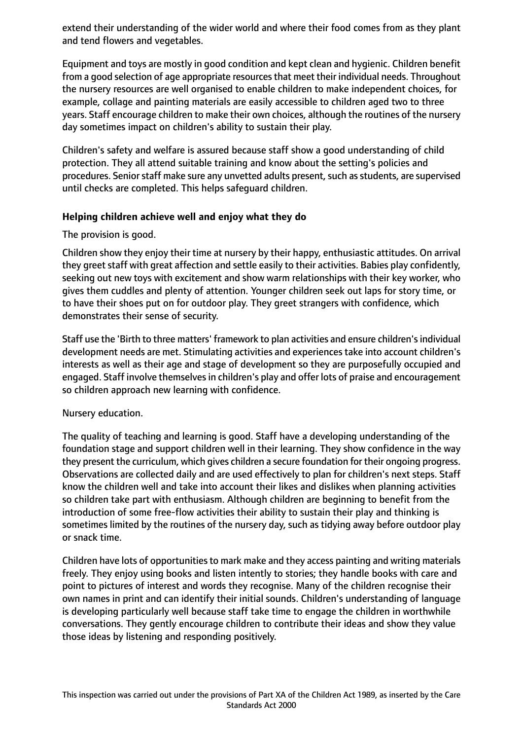extend their understanding of the wider world and where their food comes from as they plant and tend flowers and vegetables.

Equipment and toys are mostly in good condition and kept clean and hygienic. Children benefit from a good selection of age appropriate resources that meet their individual needs. Throughout the nursery resources are well organised to enable children to make independent choices, for example, collage and painting materials are easily accessible to children aged two to three years. Staff encourage children to make their own choices, although the routines of the nursery day sometimes impact on children's ability to sustain their play.

Children's safety and welfare is assured because staff show a good understanding of child protection. They all attend suitable training and know about the setting's policies and procedures. Senior staff make sure any unvetted adults present, such as students, are supervised until checks are completed. This helps safeguard children.

#### **Helping children achieve well and enjoy what they do**

The provision is good.

Children show they enjoy their time at nursery by their happy, enthusiastic attitudes. On arrival they greet staff with great affection and settle easily to their activities. Babies play confidently, seeking out new toys with excitement and show warm relationships with their key worker, who gives them cuddles and plenty of attention. Younger children seek out laps for story time, or to have their shoes put on for outdoor play. They greet strangers with confidence, which demonstrates their sense of security.

Staff use the 'Birth to three matters' framework to plan activities and ensure children's individual development needs are met. Stimulating activities and experiences take into account children's interests as well as their age and stage of development so they are purposefully occupied and engaged. Staff involve themselves in children's play and offer lots of praise and encouragement so children approach new learning with confidence.

Nursery education.

The quality of teaching and learning is good. Staff have a developing understanding of the foundation stage and support children well in their learning. They show confidence in the way they present the curriculum, which gives children a secure foundation for their ongoing progress. Observations are collected daily and are used effectively to plan for children's next steps. Staff know the children well and take into account their likes and dislikes when planning activities so children take part with enthusiasm. Although children are beginning to benefit from the introduction of some free-flow activities their ability to sustain their play and thinking is sometimes limited by the routines of the nursery day, such as tidying away before outdoor play or snack time.

Children have lots of opportunities to mark make and they access painting and writing materials freely. They enjoy using books and listen intently to stories; they handle books with care and point to pictures of interest and words they recognise. Many of the children recognise their own names in print and can identify their initial sounds. Children's understanding of language is developing particularly well because staff take time to engage the children in worthwhile conversations. They gently encourage children to contribute their ideas and show they value those ideas by listening and responding positively.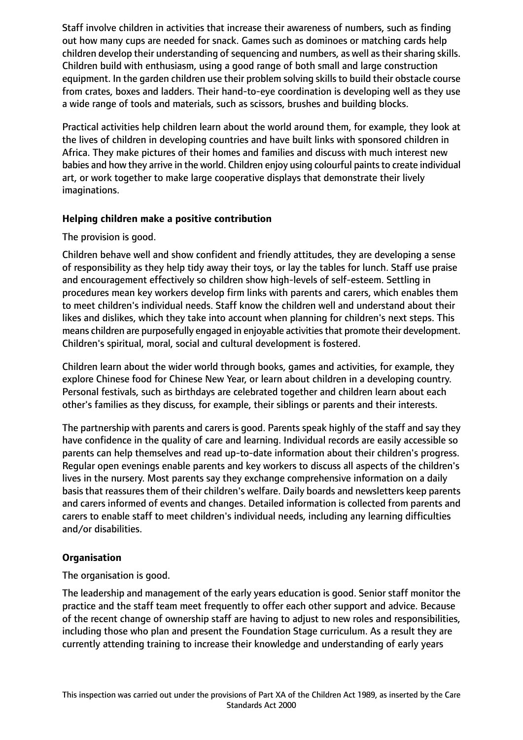Staff involve children in activities that increase their awareness of numbers, such as finding out how many cups are needed for snack. Games such as dominoes or matching cards help children develop their understanding of sequencing and numbers, as well as their sharing skills. Children build with enthusiasm, using a good range of both small and large construction equipment. In the garden children use their problem solving skills to build their obstacle course from crates, boxes and ladders. Their hand-to-eye coordination is developing well as they use a wide range of tools and materials, such as scissors, brushes and building blocks.

Practical activities help children learn about the world around them, for example, they look at the lives of children in developing countries and have built links with sponsored children in Africa. They make pictures of their homes and families and discuss with much interest new babies and how they arrive in the world. Children enjoy using colourful paints to create individual art, or work together to make large cooperative displays that demonstrate their lively imaginations.

## **Helping children make a positive contribution**

#### The provision is good.

Children behave well and show confident and friendly attitudes, they are developing a sense of responsibility as they help tidy away their toys, or lay the tables for lunch. Staff use praise and encouragement effectively so children show high-levels of self-esteem. Settling in procedures mean key workers develop firm links with parents and carers, which enables them to meet children's individual needs. Staff know the children well and understand about their likes and dislikes, which they take into account when planning for children's next steps. This means children are purposefully engaged in enjoyable activities that promote their development. Children's spiritual, moral, social and cultural development is fostered.

Children learn about the wider world through books, games and activities, for example, they explore Chinese food for Chinese New Year, or learn about children in a developing country. Personal festivals, such as birthdays are celebrated together and children learn about each other's families as they discuss, for example, their siblings or parents and their interests.

The partnership with parents and carers is good. Parents speak highly of the staff and say they have confidence in the quality of care and learning. Individual records are easily accessible so parents can help themselves and read up-to-date information about their children's progress. Regular open evenings enable parents and key workers to discuss all aspects of the children's lives in the nursery. Most parents say they exchange comprehensive information on a daily basis that reassures them of their children's welfare. Daily boards and newsletters keep parents and carers informed of events and changes. Detailed information is collected from parents and carers to enable staff to meet children's individual needs, including any learning difficulties and/or disabilities.

## **Organisation**

The organisation is good.

The leadership and management of the early years education is good. Senior staff monitor the practice and the staff team meet frequently to offer each other support and advice. Because of the recent change of ownership staff are having to adjust to new roles and responsibilities, including those who plan and present the Foundation Stage curriculum. As a result they are currently attending training to increase their knowledge and understanding of early years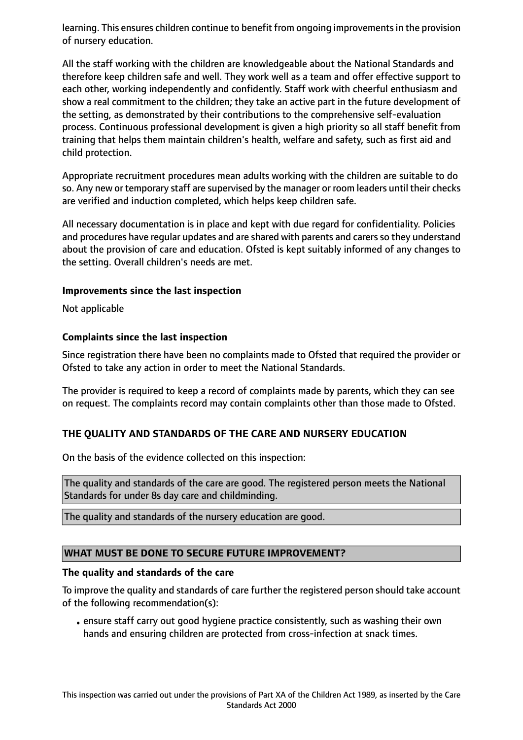learning. This ensures children continue to benefit from ongoing improvements in the provision of nursery education.

All the staff working with the children are knowledgeable about the National Standards and therefore keep children safe and well. They work well as a team and offer effective support to each other, working independently and confidently. Staff work with cheerful enthusiasm and show a real commitment to the children; they take an active part in the future development of the setting, as demonstrated by their contributions to the comprehensive self-evaluation process. Continuous professional development is given a high priority so all staff benefit from training that helps them maintain children's health, welfare and safety, such as first aid and child protection.

Appropriate recruitment procedures mean adults working with the children are suitable to do so. Any new or temporary staff are supervised by the manager or room leaders until their checks are verified and induction completed, which helps keep children safe.

All necessary documentation is in place and kept with due regard for confidentiality. Policies and procedures have regular updates and are shared with parents and carers so they understand about the provision of care and education. Ofsted is kept suitably informed of any changes to the setting. Overall children's needs are met.

#### **Improvements since the last inspection**

Not applicable

## **Complaints since the last inspection**

Since registration there have been no complaints made to Ofsted that required the provider or Ofsted to take any action in order to meet the National Standards.

The provider is required to keep a record of complaints made by parents, which they can see on request. The complaints record may contain complaints other than those made to Ofsted.

## **THE QUALITY AND STANDARDS OF THE CARE AND NURSERY EDUCATION**

On the basis of the evidence collected on this inspection:

The quality and standards of the care are good. The registered person meets the National Standards for under 8s day care and childminding.

The quality and standards of the nursery education are good.

## **WHAT MUST BE DONE TO SECURE FUTURE IMPROVEMENT?**

#### **The quality and standards of the care**

To improve the quality and standards of care further the registered person should take account of the following recommendation(s):

•ensure staff carry out good hygiene practice consistently, such as washing their own hands and ensuring children are protected from cross-infection at snack times.